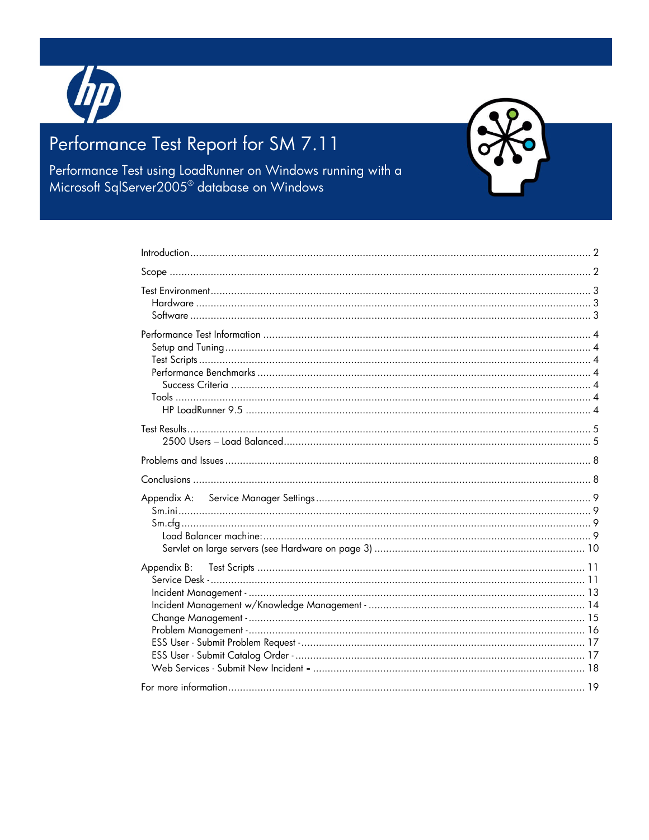

# Performance Test Report for SM 7.11

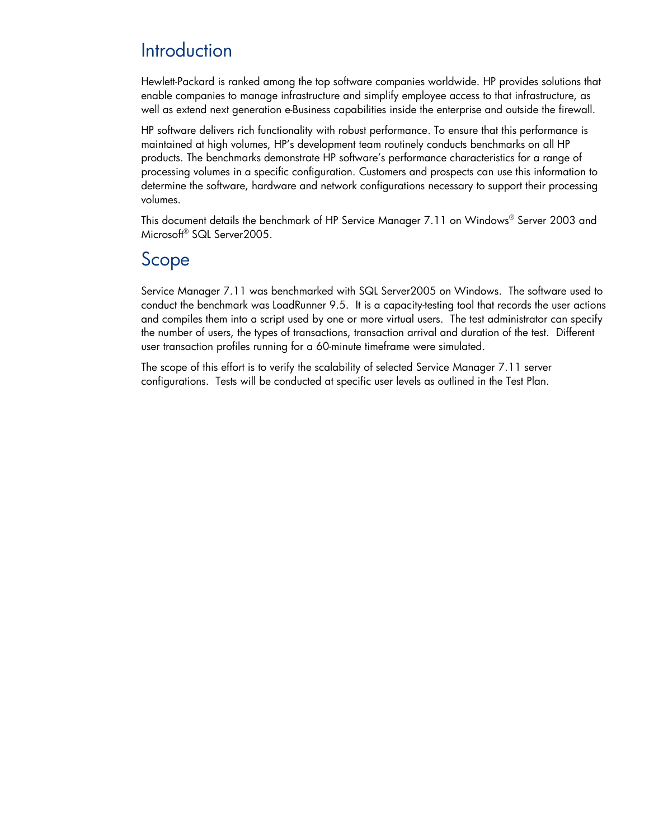# <span id="page-1-0"></span>**Introduction**

Hewlett-Packard is ranked among the top software companies worldwide. HP provides solutions that enable companies to manage infrastructure and simplify employee access to that infrastructure, as well as extend next generation e-Business capabilities inside the enterprise and outside the firewall.

HP software delivers rich functionality with robust performance. To ensure that this performance is maintained at high volumes, HP's development team routinely conducts benchmarks on all HP products. The benchmarks demonstrate HP software's performance characteristics for a range of processing volumes in a specific configuration. Customers and prospects can use this information to determine the software, hardware and network configurations necessary to support their processing volumes.

This document details the benchmark of HP Service Manager 7.11 on Windows® Server 2003 and Microsoft® SQL Server2005.

## <span id="page-1-1"></span>Scope

Service Manager 7.11 was benchmarked with SQL Server2005 on Windows. The software used to conduct the benchmark was LoadRunner 9.5. It is a capacity-testing tool that records the user actions and compiles them into a script used by one or more virtual users. The test administrator can specify the number of users, the types of transactions, transaction arrival and duration of the test. Different user transaction profiles running for a 60-minute timeframe were simulated.

The scope of this effort is to verify the scalability of selected Service Manager 7.11 server configurations. Tests will be conducted at specific user levels as outlined in the Test Plan.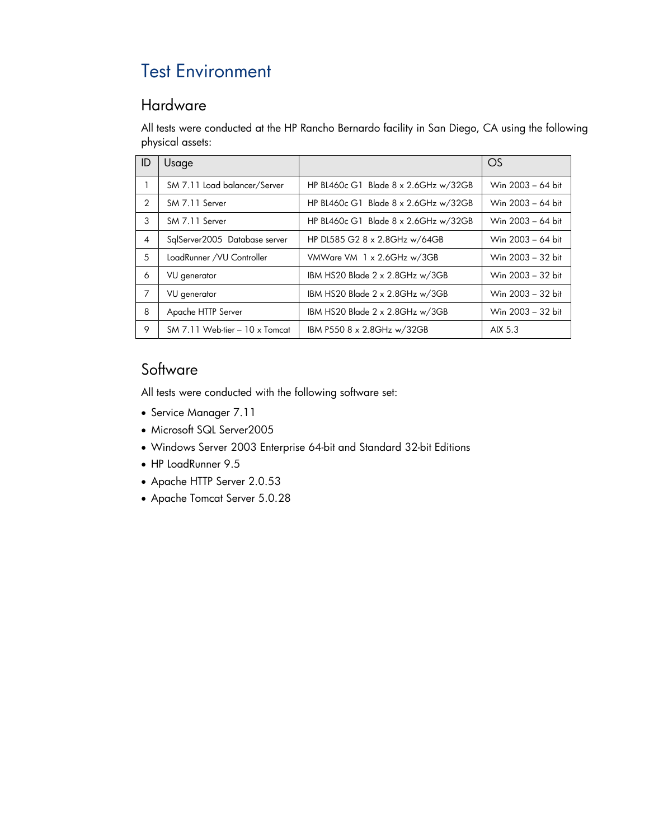# <span id="page-2-0"></span>Test Environment

### <span id="page-2-1"></span>Hardware

All tests were conducted at the HP Rancho Bernardo facility in San Diego, CA using the following physical assets:

| ID                       | Usage                          |                                              | OS                |
|--------------------------|--------------------------------|----------------------------------------------|-------------------|
|                          | SM 7.11 Load balancer/Server   | HP BL460c G1 Blade $8 \times 2.6$ GHz w/32GB | Win 2003 - 64 bit |
| 2                        | SM 7.11 Server                 | HP BL460c G1 Blade $8 \times 2.6$ GHz w/32GB | Win 2003 - 64 bit |
| 3                        | SM 7.11 Server                 | HP BL460c G1 Blade 8 x 2.6GHz w/32GB         | Win 2003 - 64 bit |
| $\overline{\mathcal{A}}$ | SalServer2005 Database server  | HP DL585 G2 8 x 2.8GHz w/64GB                | Win 2003 - 64 bit |
| 5                        | LoadRunner /VU Controller      | VMWare VM 1 x 2.6GHz w/3GB                   | Win 2003 - 32 bit |
| 6                        | VU generator                   | IBM HS20 Blade $2 \times 2.8$ GHz w/3GB      | Win 2003 - 32 bit |
| 7                        | VU generator                   | IBM HS20 Blade 2 x 2.8GHz w/3GB              | Win 2003 - 32 bit |
| 8                        | Apache HTTP Server             | IBM HS20 Blade 2 x 2.8GHz w/3GB              | Win 2003 - 32 bit |
| 9                        | SM 7.11 Web-tier - 10 x Tomcat | IBM P550 8 x 2.8GHz w/32GB                   | AIX 5.3           |

## <span id="page-2-2"></span>**Software**

All tests were conducted with the following software set:

- Service Manager 7.11
- Microsoft SQL Server2005
- Windows Server 2003 Enterprise 64-bit and Standard 32-bit Editions
- HP LoadRunner 9.5
- Apache HTTP Server 2.0.53
- Apache Tomcat Server 5.0.28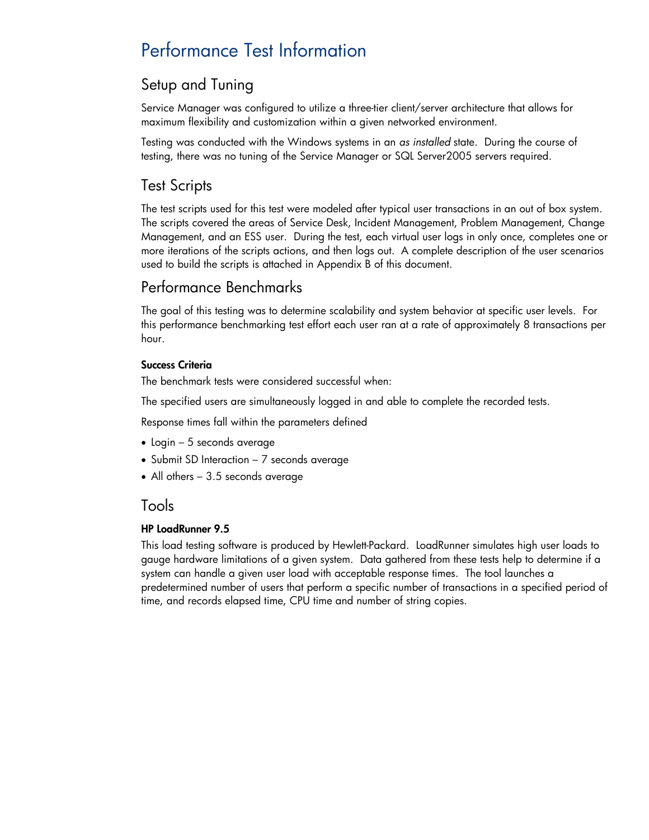# <span id="page-3-0"></span>Performance Test Information

## <span id="page-3-1"></span>Setup and Tuning

Service Manager was configured to utilize a three-tier client/server architecture that allows for maximum flexibility and customization within a given networked environment.

Testing was conducted with the Windows systems in an *as installed* state. During the course of testing, there was no tuning of the Service Manager or SQL Server2005 servers required.

## <span id="page-3-2"></span>Test Scripts

The test scripts used for this test were modeled after typical user transactions in an out of box system. The scripts covered the areas of Service Desk, Incident Management, Problem Management, Change Management, and an ESS user. During the test, each virtual user logs in only once, completes one or more iterations of the scripts actions, and then logs out. A complete description of the user scenarios used to build the scripts is attached in Appendix B of this document.

## <span id="page-3-3"></span>Performance Benchmarks

The goal of this testing was to determine scalability and system behavior at specific user levels. For this performance benchmarking test effort each user ran at a rate of approximately 8 transactions per hour.

#### <span id="page-3-4"></span>Success Criteria

The benchmark tests were considered successful when:

The specified users are simultaneously logged in and able to complete the recorded tests.

Response times fall within the parameters defined

- Login 5 seconds average
- Submit SD Interaction 7 seconds average
- All others 3.5 seconds average

### <span id="page-3-5"></span>Tools

#### <span id="page-3-6"></span>HP LoadRunner 9.5

This load testing software is produced by Hewlett-Packard. LoadRunner simulates high user loads to gauge hardware limitations of a given system. Data gathered from these tests help to determine if a system can handle a given user load with acceptable response times. The tool launches a predetermined number of users that perform a specific number of transactions in a specified period of time, and records elapsed time, CPU time and number of string copies.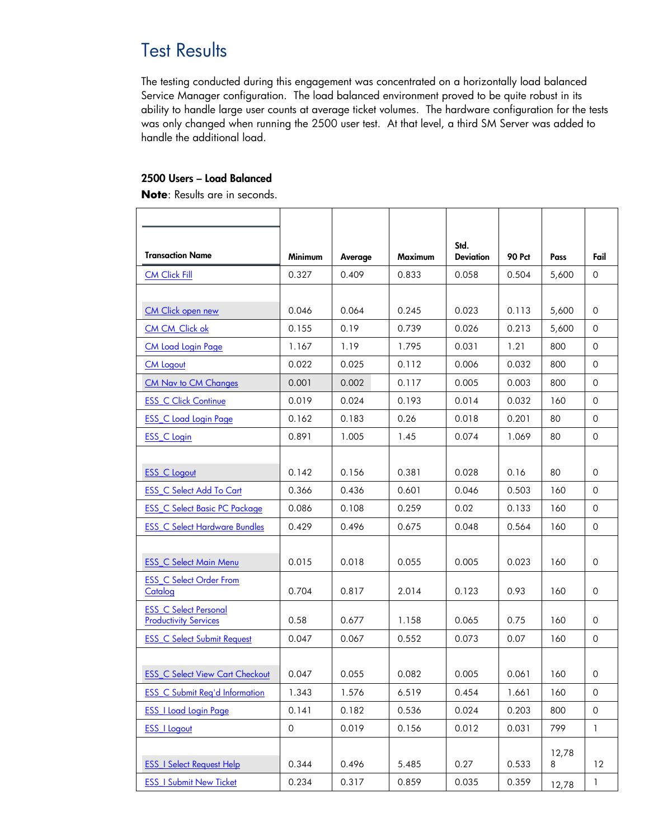# <span id="page-4-0"></span>**Test Results**

The testing conducted during this engagement was concentrated on a horizontally load balanced Service Manager configuration. The load balanced environment proved to be quite robust in its ability to handle large user counts at average ticket volumes. The hardware configuration for the tests was only changed when running the 2500 user test. At that level, a third SM Server was added to handle the additional load.

#### <span id="page-4-1"></span>2500 Users – Load Balanced

**Note**: Results are in seconds.

| <b>Transaction Name</b>                                      | Minimum             | Average | Maximum | Std.<br><b>Deviation</b> | <b>90 Pct</b> | Pass  | Fail                |
|--------------------------------------------------------------|---------------------|---------|---------|--------------------------|---------------|-------|---------------------|
| <b>CM Click Fill</b>                                         | 0.327               | 0.409   | 0.833   | 0.058                    | 0.504         | 5,600 | 0                   |
|                                                              |                     |         |         |                          |               |       |                     |
| CM Click open new                                            | 0.046               | 0.064   | 0.245   | 0.023                    | 0.113         | 5,600 | 0                   |
| CM CM Click ok                                               | 0.155               | 0.19    | 0.739   | 0.026                    | 0.213         | 5,600 | 0                   |
| <b>CM Load Login Page</b>                                    | 1.167               | 1.19    | 1.795   | 0.031                    | 1.21          | 800   | 0                   |
| <b>CM Logout</b>                                             | 0.022               | 0.025   | 0.112   | 0.006                    | 0.032         | 800   | 0                   |
| CM Nav to CM Changes                                         | 0.001               | 0.002   | 0.117   | 0.005                    | 0.003         | 800   | $\Omega$            |
| <b>ESS C Click Continue</b>                                  | 0.019               | 0.024   | 0.193   | 0.014                    | 0.032         | 160   | 0                   |
| <b>ESS C Load Login Page</b>                                 | 0.162               | 0.183   | 0.26    | 0.018                    | 0.201         | 80    | 0                   |
| <b>ESS C Login</b>                                           | 0.891               | 1.005   | 1.45    | 0.074                    | 1.069         | 80    | 0                   |
|                                                              |                     |         |         |                          |               |       |                     |
| <b>ESS C Logout</b>                                          | 0.142               | 0.156   | 0.381   | 0.028                    | 0.16          | 80    | 0                   |
| <b>ESS C Select Add To Cart</b>                              | 0.366               | 0.436   | 0.601   | 0.046                    | 0.503         | 160   | $\Omega$            |
| <b>ESS C Select Basic PC Package</b>                         | 0.086               | 0.108   | 0.259   | 0.02                     | 0.133         | 160   | 0                   |
| <b>ESS_C Select Hardware Bundles</b>                         | 0.429               | 0.496   | 0.675   | 0.048                    | 0.564         | 160   | 0                   |
|                                                              |                     |         |         |                          |               |       |                     |
| <b>ESS_C Select Main Menu</b>                                | 0.015               | 0.018   | 0.055   | 0.005                    | 0.023         | 160   | 0                   |
| <b>ESS C Select Order From</b><br>Catalog                    | 0.704               | 0.817   | 2.014   | 0.123                    | 0.93          | 160   | 0                   |
| <b>ESS C Select Personal</b><br><b>Productivity Services</b> | 0.58                | 0.677   | 1.158   | 0.065                    | 0.75          | 160   | 0                   |
| <b>ESS C Select Submit Request</b>                           | 0.047               | 0.067   | 0.552   | 0.073                    | 0.07          | 160   | 0                   |
|                                                              |                     |         |         |                          |               |       |                     |
| <b>ESS_C Select View Cart Checkout</b>                       | 0.047               | 0.055   | 0.082   | 0.005                    | 0.061         | 160   | 0                   |
| <b>ESS C Submit Reg'd Information</b>                        | 1.343               | 1.576   | 6.519   | 0.454                    | 1.661         | 160   | $\mathsf{O}\xspace$ |
| <b>ESS_I Load Login Page</b>                                 | 0.141               | 0.182   | 0.536   | 0.024                    | 0.203         | 800   | $\circ$             |
| <b>ESS_I Logout</b>                                          | $\mathsf{O}\xspace$ | 0.019   | 0.156   | 0.012                    | 0.031         | 799   | $\mathbf{1}$        |
|                                                              |                     |         |         |                          |               | 12,78 |                     |
| <b>ESS I Select Request Help</b>                             | 0.344               | 0.496   | 5.485   | 0.27                     | 0.533         | 8     | 12                  |
| <b>ESS_I Submit New Ticket</b>                               | 0.234               | 0.317   | 0.859   | 0.035                    | 0.359         | 12,78 | 1                   |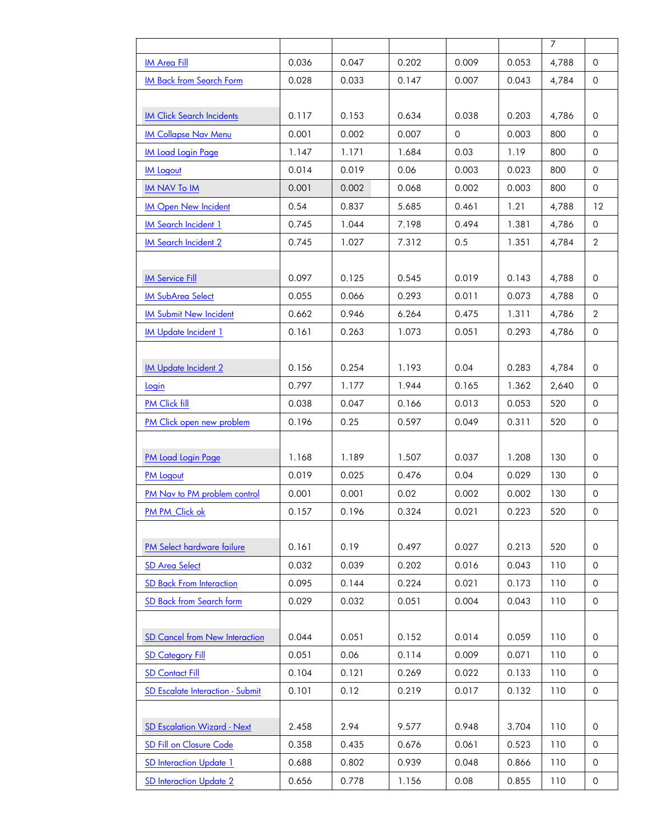|                                  |       |       |       |          |       | 7     |                     |
|----------------------------------|-------|-------|-------|----------|-------|-------|---------------------|
| <b>IM Area Fill</b>              | 0.036 | 0.047 | 0.202 | 0.009    | 0.053 | 4,788 | $\Omega$            |
| <b>IM Back from Search Form</b>  | 0.028 | 0.033 | 0.147 | 0.007    | 0.043 | 4,784 | $\mathsf{O}$        |
|                                  |       |       |       |          |       |       |                     |
| <b>IM Click Search Incidents</b> | 0.117 | 0.153 | 0.634 | 0.038    | 0.203 | 4,786 | 0                   |
| <b>IM Collapse Nav Menu</b>      | 0.001 | 0.002 | 0.007 | $\Omega$ | 0.003 | 800   | 0                   |
| <b>IM Load Login Page</b>        | 1.147 | 1.171 | 1.684 | 0.03     | 1.19  | 800   | 0                   |
| <b>IM Logout</b>                 | 0.014 | 0.019 | 0.06  | 0.003    | 0.023 | 800   | $\mathsf{O}\xspace$ |
| <b>IM NAV To IM</b>              | 0.001 | 0.002 | 0.068 | 0.002    | 0.003 | 800   | 0                   |
| <b>IM Open New Incident</b>      | 0.54  | 0.837 | 5.685 | 0.461    | 1.21  | 4,788 | 12                  |
| <b>IM Search Incident 1</b>      | 0.745 | 1.044 | 7.198 | 0.494    | 1.381 | 4,786 | $\mathsf{O}$        |
| <b>IM Search Incident 2</b>      | 0.745 | 1.027 | 7.312 | 0.5      | 1.351 | 4,784 | $\overline{2}$      |
|                                  |       |       |       |          |       |       |                     |
| <b>IM Service Fill</b>           | 0.097 | 0.125 | 0.545 | 0.019    | 0.143 | 4,788 | 0                   |
| <b>IM SubArea Select</b>         | 0.055 | 0.066 | 0.293 | 0.011    | 0.073 | 4,788 | $\mathsf{O}$        |
| <b>IM Submit New Incident</b>    | 0.662 | 0.946 | 6.264 | 0.475    | 1.311 | 4,786 | $\overline{2}$      |
| <b>IM Update Incident 1</b>      | 0.161 | 0.263 | 1.073 | 0.051    | 0.293 | 4,786 | $\mathsf{O}$        |
|                                  |       |       |       |          |       |       |                     |
| <b>IM Update Incident 2</b>      | 0.156 | 0.254 | 1.193 | 0.04     | 0.283 | 4,784 | $\mathsf{O}$        |
| Login                            | 0.797 | 1.177 | 1.944 | 0.165    | 1.362 | 2,640 | $\mathsf{O}$        |
| PM Click fill                    | 0.038 | 0.047 | 0.166 | 0.013    | 0.053 | 520   | 0                   |
| PM Click open new problem        | 0.196 | 0.25  | 0.597 | 0.049    | 0.311 | 520   | $\mathsf{O}$        |
|                                  |       |       |       |          |       |       |                     |
| PM Load Login Page               | 1.168 | 1.189 | 1.507 | 0.037    | 1.208 | 130   | $\mathsf{O}$        |
| <b>PM Logout</b>                 | 0.019 | 0.025 | 0.476 | 0.04     | 0.029 | 130   | $\mathsf{O}$        |
| PM Nav to PM problem control     | 0.001 | 0.001 | 0.02  | 0.002    | 0.002 | 130   | 0                   |
| PM PM_Click ok                   | 0.157 | 0.196 | 0.324 | 0.021    | 0.223 | 520   | $\mathsf{O}$        |
|                                  |       |       |       |          |       |       |                     |
| PM Select hardware failure       | 0.161 | 0.19  | 0.497 | 0.027    | 0.213 | 520   | $\mathsf{O}$        |
| <b>SD Area Select</b>            | 0.032 | 0.039 | 0.202 | 0.016    | 0.043 | 110   | $\mathsf{O}$        |
| <b>SD Back From Interaction</b>  | 0.095 | 0.144 | 0.224 | 0.021    | 0.173 | 110   | $\mathsf{O}\xspace$ |
| SD Back from Search form         | 0.029 | 0.032 | 0.051 | 0.004    | 0.043 | 110   | 0                   |
|                                  |       |       |       |          |       |       |                     |
| SD Cancel from New Interaction   | 0.044 | 0.051 | 0.152 | 0.014    | 0.059 | 110   | 0                   |
| <b>SD Category Fill</b>          | 0.051 | 0.06  | 0.114 | 0.009    | 0.071 | 110   | 0                   |
| <b>SD Contact Fill</b>           | 0.104 | 0.121 | 0.269 | 0.022    | 0.133 | 110   | $\mathsf{O}\xspace$ |
| SD Escalate Interaction - Submit | 0.101 | 0.12  | 0.219 | 0.017    | 0.132 | 110   | $\mathsf{O}\xspace$ |
|                                  |       |       |       |          |       |       |                     |
| SD Escalation Wizard - Next      | 2.458 | 2.94  | 9.577 | 0.948    | 3.704 | 110   | $\mathsf{O}$        |
| <b>SD Fill on Closure Code</b>   | 0.358 | 0.435 | 0.676 | 0.061    | 0.523 | 110   | $\mathsf{O}$        |
| <b>SD Interaction Update 1</b>   | 0.688 | 0.802 | 0.939 | 0.048    | 0.866 | 110   | $\mathsf{O}\xspace$ |
| <b>SD Interaction Update 2</b>   | 0.656 | 0.778 | 1.156 | 0.08     | 0.855 | 110   | 0                   |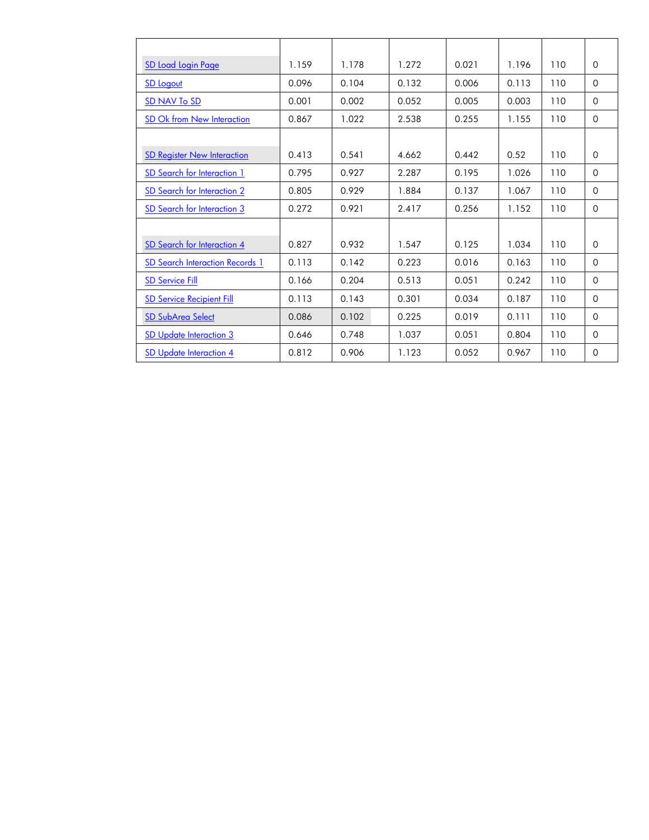| SD Load Login Page                     | 1.159 | 1.178 | 1.272 | 0.021 | 1.196 | 110 | $\Omega$    |
|----------------------------------------|-------|-------|-------|-------|-------|-----|-------------|
| <b>SD Logout</b>                       | 0.096 | 0.104 | 0.132 | 0.006 | 0.113 | 110 | 0           |
| <b>SD NAV To SD</b>                    | 0.001 | 0.002 | 0.052 | 0.005 | 0.003 | 110 | $\Omega$    |
| SD Ok from New Interaction             | 0.867 | 1.022 | 2.538 | 0.255 | 1.155 | 110 | $\Omega$    |
|                                        |       |       |       |       |       |     |             |
| <b>SD Register New Interaction</b>     | 0.413 | 0.541 | 4.662 | 0.442 | 0.52  | 110 | $\Omega$    |
| SD Search for Interaction 1            | 0.795 | 0.927 | 2.287 | 0.195 | 1.026 | 110 | 0           |
| SD Search for Interaction 2            | 0.805 | 0.929 | 1.884 | 0.137 | 1.067 | 110 | $\Omega$    |
| <u>SD Search for Interaction 3</u>     | 0.272 | 0.921 | 2.417 | 0.256 | 1.152 | 110 | $\Omega$    |
|                                        |       |       |       |       |       |     |             |
| SD Search for Interaction 4            | 0.827 | 0.932 | 1.547 | 0.125 | 1.034 | 110 | $\Omega$    |
| <b>SD Search Interaction Records 1</b> | 0.113 | 0.142 | 0.223 | 0.016 | 0.163 | 110 | 0           |
| <b>SD Service Fill</b>                 | 0.166 | 0.204 | 0.513 | 0.051 | 0.242 | 110 | 0           |
| <b>SD Service Recipient Fill</b>       | 0.113 | 0.143 | 0.301 | 0.034 | 0.187 | 110 | $\mathbf 0$ |
| <b>SD SubArea Select</b>               | 0.086 | 0.102 | 0.225 | 0.019 | 0.111 | 110 | $\Omega$    |
| <b>SD Update Interaction 3</b>         | 0.646 | 0.748 | 1.037 | 0.051 | 0.804 | 110 | 0           |
| SD Update Interaction 4                | 0.812 | 0.906 | 1.123 | 0.052 | 0.967 | 110 | 0           |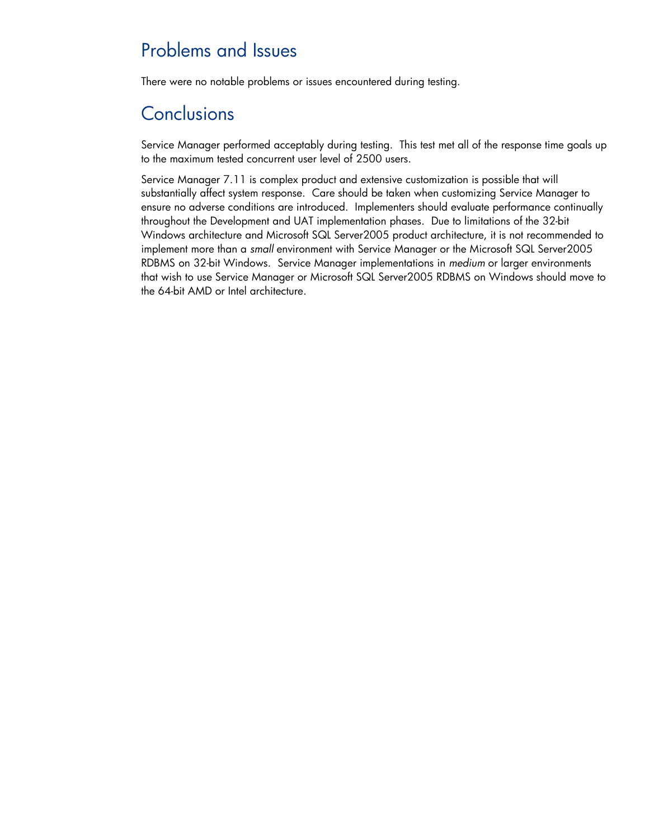# <span id="page-7-0"></span>Problems and Issues

There were no notable problems or issues encountered during testing.

# <span id="page-7-1"></span>**Conclusions**

Service Manager performed acceptably during testing. This test met all of the response time goals up to the maximum tested concurrent user level of 2500 users.

Service Manager 7.11 is complex product and extensive customization is possible that will substantially affect system response. Care should be taken when customizing Service Manager to ensure no adverse conditions are introduced. Implementers should evaluate performance continually throughout the Development and UAT implementation phases. Due to limitations of the 32-bit Windows architecture and Microsoft SQL Server2005 product architecture, it is not recommended to implement more than a *small* environment with Service Manager or the Microsoft SQL Server2005 RDBMS on 32-bit Windows. Service Manager implementations in *medium* or larger environments that wish to use Service Manager or Microsoft SQL Server2005 RDBMS on Windows should move to the 64-bit AMD or Intel architecture.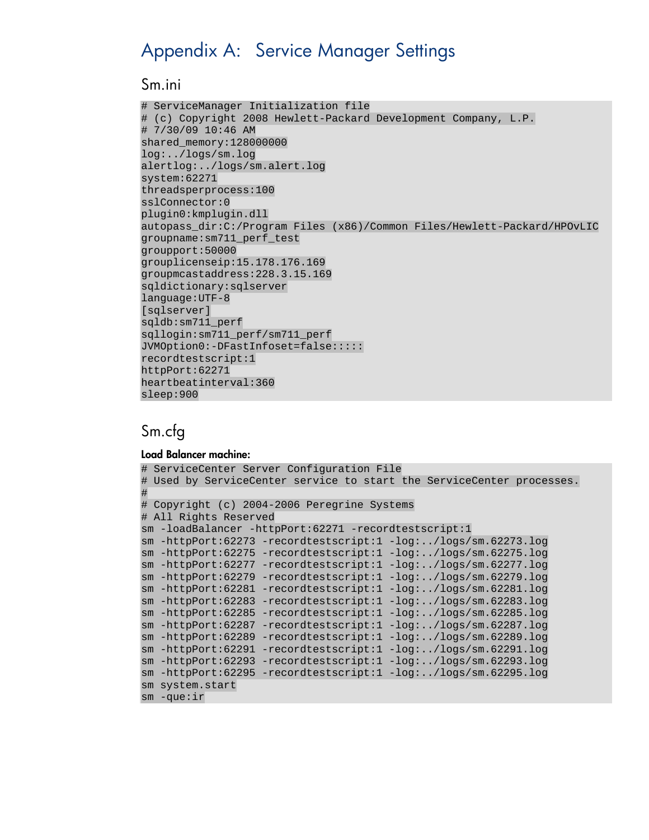# <span id="page-8-0"></span>Appendix A: Service Manager Settings

#### <span id="page-8-1"></span>Sm.ini

```
# ServiceManager Initialization file
# (c) Copyright 2008 Hewlett-Packard Development Company, L.P.
# 7/30/09 10:46 AM
shared memory:128000000
log:../logs/sm.log
alertlog:../logs/sm.alert.log
system:62271
threadsperprocess:100
sslConnector:0
plugin0:kmplugin.dll
autopass dir:C:/Program Files (x86)/Common Files/Hewlett-Packard/HPOvLIC
groupname:sm711_perf_test
groupport:50000
grouplicenseip:15.178.176.169
groupmcastaddress:228.3.15.169
sqldictionary:sqlserver
language:UTF-8
[sqlserver]
sqldb:sm711_perf
sqllogin:sm711_perf/sm711_perf
JVMOption0:-DFastInfoset=false:::::
recordtestscript:1
httpPort:62271
heartbeatinterval:360
sleep:900
```
### <span id="page-8-2"></span>Sm.cfg

#### Load Balancer machine:

```
# ServiceCenter Server Configuration File
# Used by ServiceCenter service to start the ServiceCenter processes.
#
# Copyright (c) 2004-2006 Peregrine Systems
# All Rights Reserved
sm -loadBalancer -httpPort:62271 -recordtestscript:1
sm -httpPort:62273 -recordtestscript:1 -log:../logs/sm.62273.log
sm -httpPort:62275 -recordtestscript:1 -log:../logs/sm.62275.log
sm -httpPort:62277 -recordtestscript:1 -log:../logs/sm.62277.log
sm -httpPort:62279 -recordtestscript:1 -log:../logs/sm.62279.log
sm -httpPort:62281 -recordtestscript:1 -log:../logs/sm.62281.log
sm -httpPort:62283 -recordtestscript:1 -log:../logs/sm.62283.log
sm -httpPort:62285 -recordtestscript:1 -log:../logs/sm.62285.log
sm -httpPort:62287 -recordtestscript:1 -log:../logs/sm.62287.log
sm -httpPort:62289 -recordtestscript:1 -log:../logs/sm.62289.log
sm -httpPort:62291 -recordtestscript:1 -log:../logs/sm.62291.log
sm -httpPort:62293 -recordtestscript:1 -log:../logs/sm.62293.log
sm -httpPort:62295 -recordtestscript:1 -log:../logs/sm.62295.log
sm system.start
sm -que:ir
```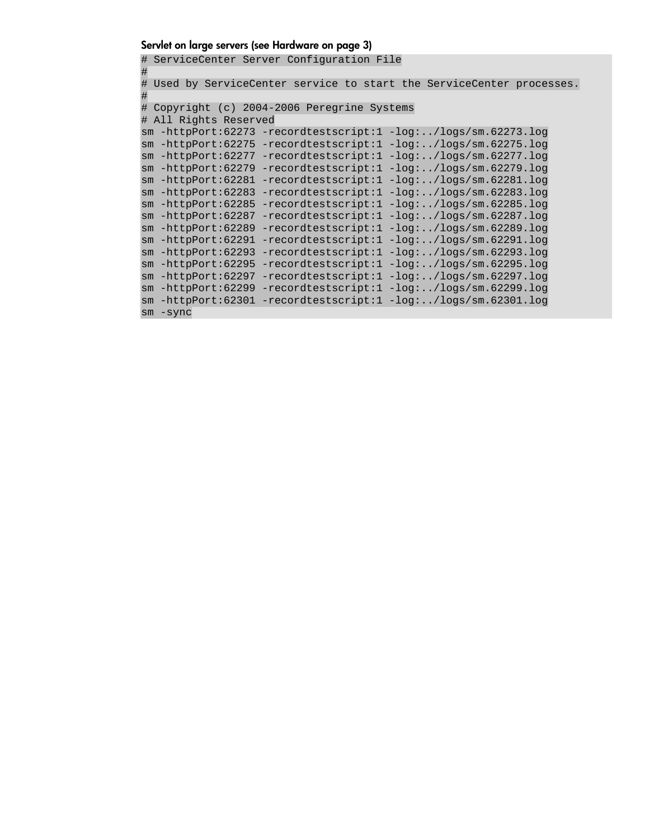#### <span id="page-9-0"></span>Servlet on large servers (see [Hardware](#page-2-1) on page [3](#page-2-1))

# ServiceCenter Server Configuration File # # Used by ServiceCenter service to start the ServiceCenter processes. # # Copyright (c) 2004-2006 Peregrine Systems # All Rights Reserved sm -httpPort:62273 -recordtestscript:1 -log:../logs/sm.62273.log sm -httpPort:62275 -recordtestscript:1 -log:../logs/sm.62275.log sm -httpPort:62277 -recordtestscript:1 -log:../logs/sm.62277.log sm -httpPort:62279 -recordtestscript:1 -log:../logs/sm.62279.log sm -httpPort:62281 -recordtestscript:1 -log:../logs/sm.62281.log sm -httpPort:62283 -recordtestscript:1 -log:../logs/sm.62283.log sm -httpPort:62285 -recordtestscript:1 -log:../logs/sm.62285.log sm -httpPort:62287 -recordtestscript:1 -log:../logs/sm.62287.log sm -httpPort:62289 -recordtestscript:1 -log:../logs/sm.62289.log sm -httpPort:62291 -recordtestscript:1 -log:../logs/sm.62291.log sm -httpPort:62293 -recordtestscript:1 -log:../logs/sm.62293.log sm -httpPort:62295 -recordtestscript:1 -log:../logs/sm.62295.log sm -httpPort:62297 -recordtestscript:1 -log:../logs/sm.62297.log sm -httpPort:62299 -recordtestscript:1 -log:../logs/sm.62299.log sm -httpPort:62301 -recordtestscript:1 -log:../logs/sm.62301.log sm -sync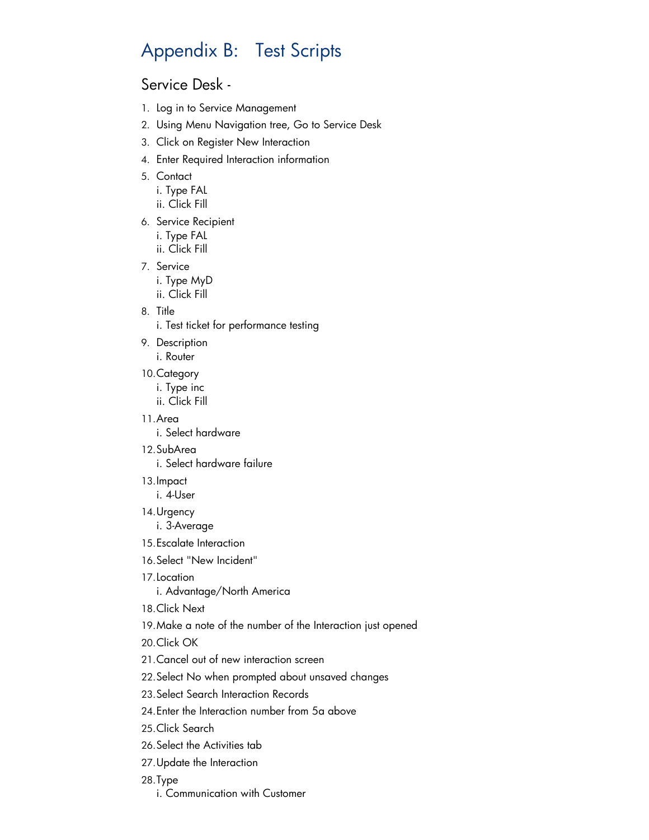# <span id="page-10-0"></span>Appendix B: Test Scripts

### <span id="page-10-1"></span>Service Desk -

- 1. Log in to Service Management
- 2. Using Menu Navigation tree, Go to Service Desk
- 3. Click on Register New Interaction
- 4. Enter Required Interaction information
- 5. Contact
	- i. Type FAL ii. Click Fill
- 6. Service Recipient i. Type FAL ii. Click Fill
- 7. Service

i. Type MyD ii. Click Fill

8. Title

i. Test ticket for performance testing

9. Description

i. Router

10.Category

i. Type inc ii. Click Fill

11.Area

i. Select hardware

12.SubArea

i. Select hardware failure

13.Impact

i. 4-User

14.Urgency

i. 3-Average

- 15.Escalate Interaction
- 16.Select "New Incident"
- 17.Location

i. Advantage/North America

- 18.Click Next
- 19.Make a note of the number of the Interaction just opened

20.Click OK

- 21.Cancel out of new interaction screen
- 22.Select No when prompted about unsaved changes
- 23.Select Search Interaction Records
- 24.Enter the Interaction number from 5a above
- 25.Click Search
- 26.Select the Activities tab
- 27.Update the Interaction
- 28.Type
	- i. Communication with Customer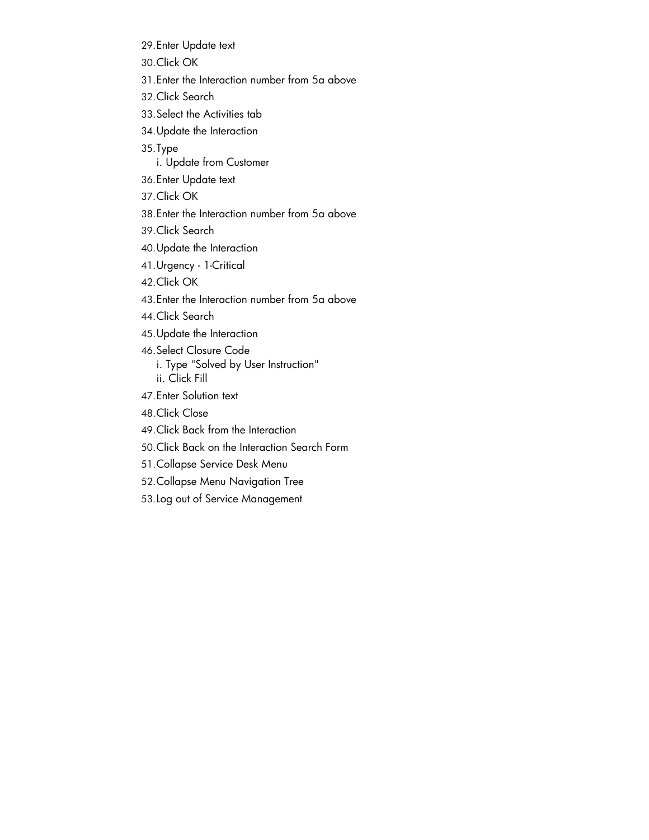- 29.Enter Update text
- 30.Click OK
- 31.Enter the Interaction number from 5a above
- 32.Click Search
- 33.Select the Activities tab
- 34.Update the Interaction
- 35.Type
	- i. Update from Customer
- 36.Enter Update text
- 37.Click OK
- 38.Enter the Interaction number from 5a above
- 39.Click Search
- 40.Update the Interaction
- 41.Urgency 1-Critical
- 42.Click OK
- 43.Enter the Interaction number from 5a above
- 44.Click Search
- 45.Update the Interaction
- 46.Select Closure Code i. Type "Solved by User Instruction" ii. Click Fill
- 47.Enter Solution text
- 48.Click Close
- 49.Click Back from the Interaction
- 50.Click Back on the Interaction Search Form
- 51.Collapse Service Desk Menu
- 52.Collapse Menu Navigation Tree
- 53.Log out of Service Management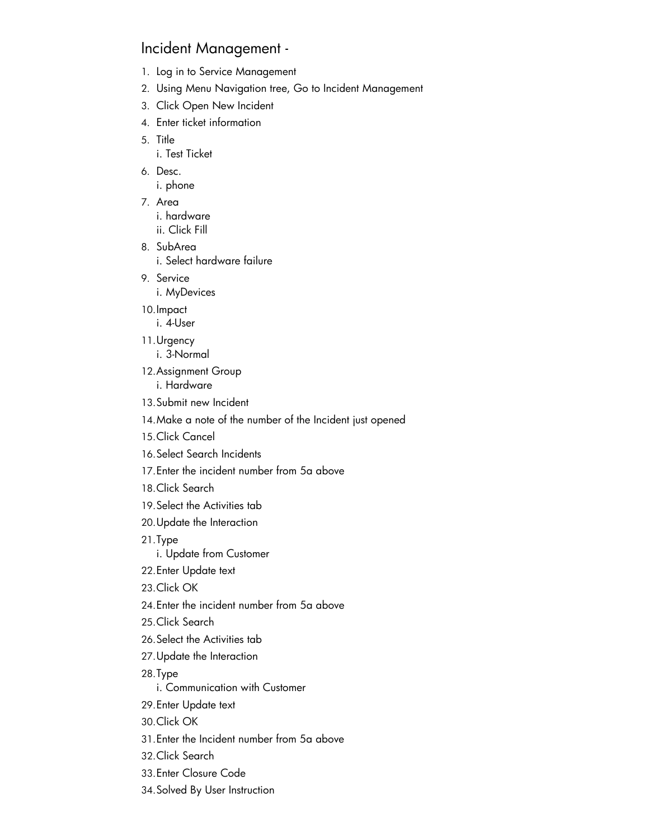### <span id="page-12-0"></span>Incident Management -

- 1. Log in to Service Management
- 2. Using Menu Navigation tree, Go to Incident Management
- 3. Click Open New Incident
- 4. Enter ticket information
- 5. Title i. Test Ticket

6. Desc.

i. phone

- 7. Area i. hardware ii. Click Fill
- 8. SubArea i. Select hardware failure
- 9. Service
	- i. MyDevices

10.Impact i. 4-User

- 11.Urgency
	- i. 3-Normal
- 12.Assignment Group i. Hardware
- 13.Submit new Incident
- 14.Make a note of the number of the Incident just opened
- 15.Click Cancel
- 16.Select Search Incidents
- 17.Enter the incident number from 5a above
- 18.Click Search
- 19.Select the Activities tab
- 20.Update the Interaction
- 21.Type
	- i. Update from Customer
- 22.Enter Update text
- 23.Click OK
- 24.Enter the incident number from 5a above
- 25.Click Search
- 26.Select the Activities tab
- 27.Update the Interaction
- 28.Type

i. Communication with Customer

- 29.Enter Update text
- 30.Click OK
- 31.Enter the Incident number from 5a above
- 32.Click Search
- 33.Enter Closure Code
- 34.Solved By User Instruction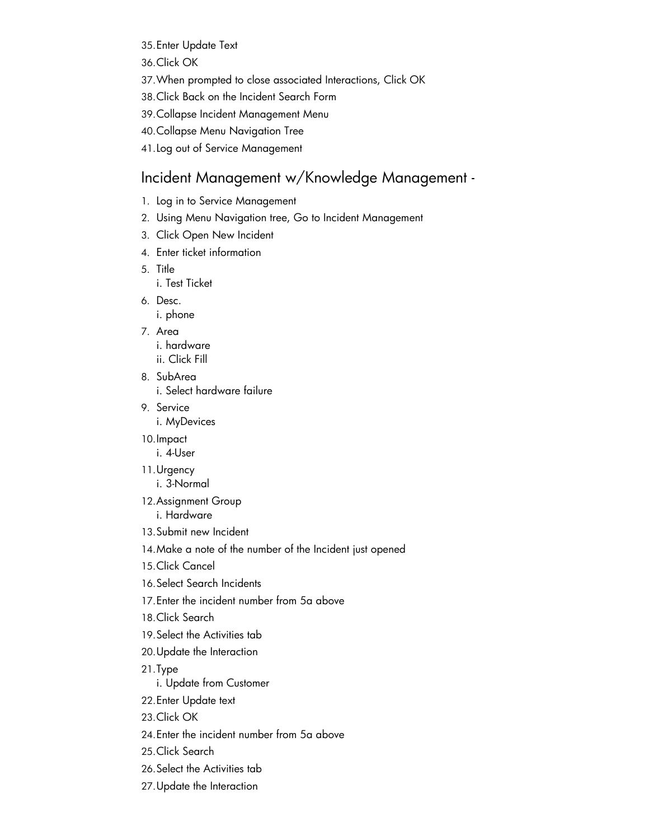- 35.Enter Update Text
- 36.Click OK
- 37.When prompted to close associated Interactions, Click OK
- 38.Click Back on the Incident Search Form
- 39.Collapse Incident Management Menu
- 40.Collapse Menu Navigation Tree
- 41.Log out of Service Management

### <span id="page-13-0"></span>Incident Management w/Knowledge Management -

- 1. Log in to Service Management
- 2. Using Menu Navigation tree, Go to Incident Management
- 3. Click Open New Incident
- 4. Enter ticket information
- 5. Title i. Test Ticket
- 6. Desc.
	- i. phone
- 7. Area i. hardware
	- ii. Click Fill
- 8. SubArea

i. Select hardware failure

- 9. Service i. MyDevices
- 10.Impact
	- i. 4-User
- 11.Urgency i. 3-Normal
- 12.Assignment Group i. Hardware
- 13.Submit new Incident
- 14.Make a note of the number of the Incident just opened
- 15.Click Cancel
- 16.Select Search Incidents
- 17.Enter the incident number from 5a above
- 18.Click Search
- 19.Select the Activities tab
- 20.Update the Interaction
- 21.Type
	- i. Update from Customer
- 22.Enter Update text
- 23.Click OK
- 24.Enter the incident number from 5a above
- 25.Click Search
- 26.Select the Activities tab
- 27.Update the Interaction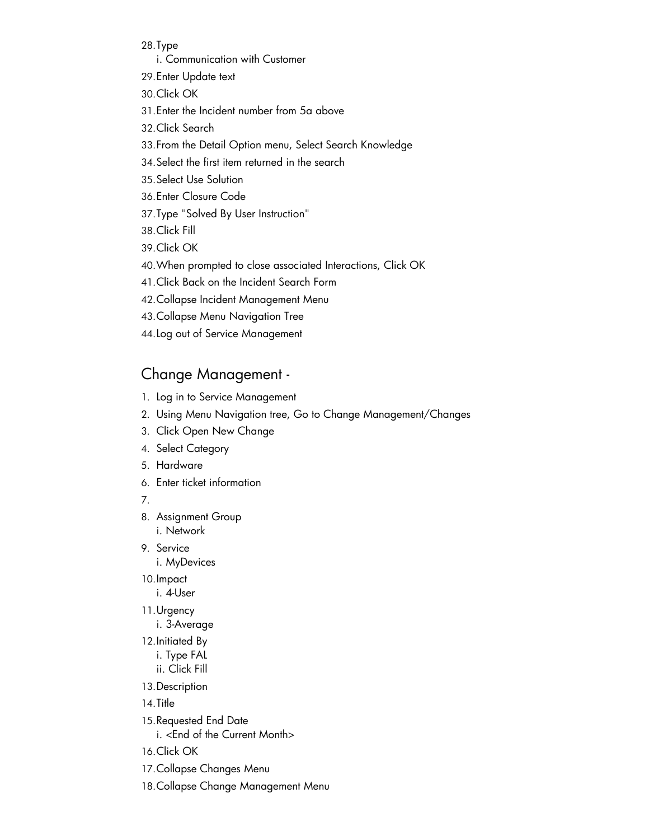28.Type

- i. Communication with Customer
- 29.Enter Update text
- 30.Click OK
- 31.Enter the Incident number from 5a above
- 32.Click Search
- 33.From the Detail Option menu, Select Search Knowledge
- 34.Select the first item returned in the search
- 35.Select Use Solution
- 36.Enter Closure Code
- 37.Type "Solved By User Instruction"
- 38.Click Fill

39.Click OK

- 40.When prompted to close associated Interactions, Click OK
- 41.Click Back on the Incident Search Form
- 42.Collapse Incident Management Menu
- 43.Collapse Menu Navigation Tree
- 44.Log out of Service Management

### <span id="page-14-0"></span>Change Management -

- 1. Log in to Service Management
- 2. Using Menu Navigation tree, Go to Change Management/Changes
- 3. Click Open New Change
- 4. Select Category
- 5. Hardware
- 6. Enter ticket information

7.

- 8. Assignment Group i. Network
- 9. Service i. MyDevices
- 10.Impact
	- i. 4-User
- 11.Urgency i. 3-Average
	-
- 12.Initiated By i. Type FAL ii. Click Fill
- 13.Description
- 14.Title
- 15.Requested End Date i. <End of the Current Month>
- 16.Click OK
- 17.Collapse Changes Menu
- 18.Collapse Change Management Menu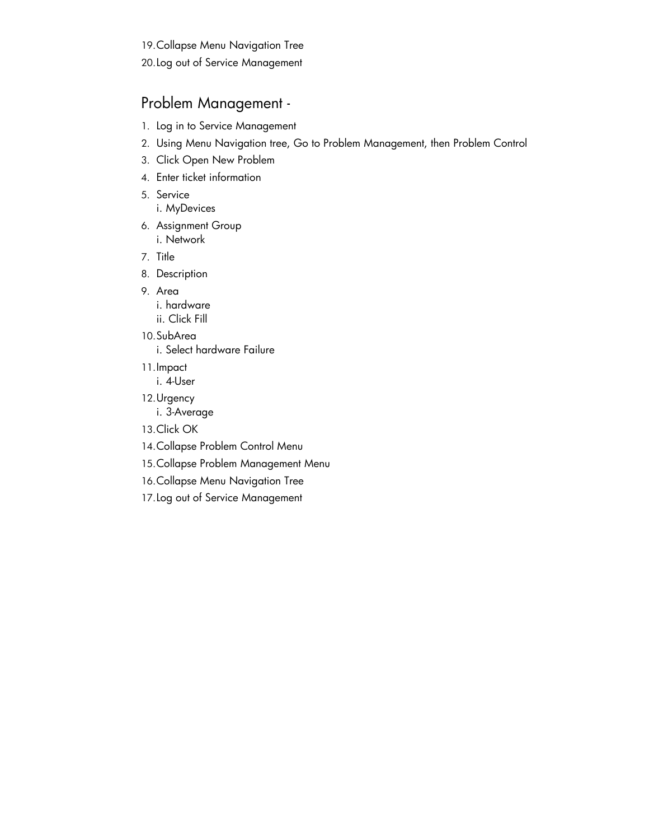19.Collapse Menu Navigation Tree

20.Log out of Service Management

### <span id="page-15-0"></span>Problem Management -

- 1. Log in to Service Management
- 2. Using Menu Navigation tree, Go to Problem Management, then Problem Control
- 3. Click Open New Problem
- 4. Enter ticket information
- 5. Service
	- i. MyDevices
- 6. Assignment Group i. Network
- 7. Title
- 8. Description
- 9. Area
	- i. hardware
	- ii. Click Fill
- 10.SubArea
	- i. Select hardware Failure
- 11.Impact
	- i. 4-User
- 12.Urgency
	- i. 3-Average
- 13.Click OK
- 14.Collapse Problem Control Menu
- 15.Collapse Problem Management Menu
- 16.Collapse Menu Navigation Tree
- 17.Log out of Service Management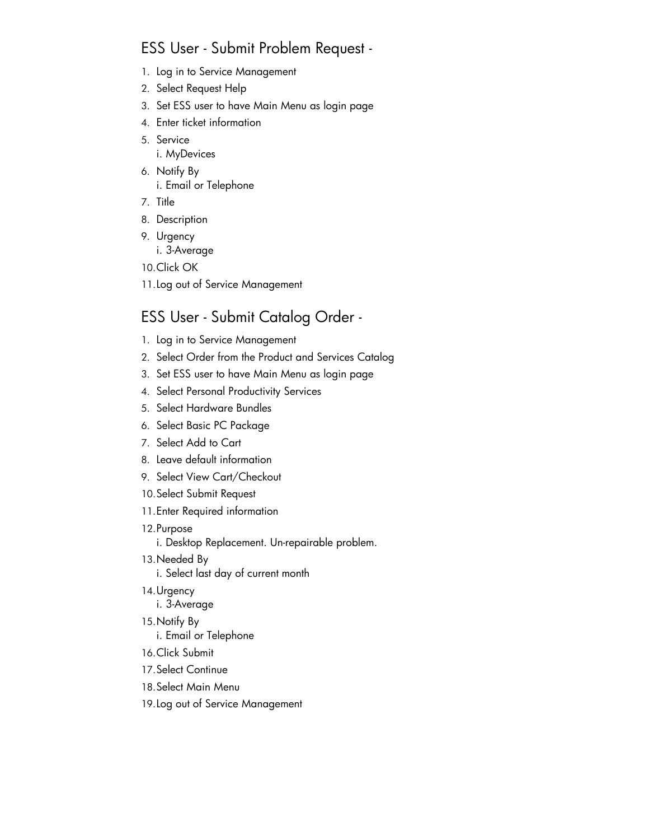### <span id="page-16-0"></span>ESS User - Submit Problem Request -

- 1. Log in to Service Management
- 2. Select Request Help
- 3. Set ESS user to have Main Menu as login page
- 4. Enter ticket information
- 5. Service i. MyDevices
- 6. Notify By i. Email or Telephone
- 7. Title
- 8. Description
- 9. Urgency i. 3-Average
- 10.Click OK
- 11.Log out of Service Management

## <span id="page-16-1"></span>ESS User - Submit Catalog Order -

- 1. Log in to Service Management
- 2. Select Order from the Product and Services Catalog
- 3. Set ESS user to have Main Menu as login page
- 4. Select Personal Productivity Services
- 5. Select Hardware Bundles
- 6. Select Basic PC Package
- 7. Select Add to Cart
- 8. Leave default information
- 9. Select View Cart/Checkout
- 10.Select Submit Request
- 11.Enter Required information
- 12.Purpose
	- i. Desktop Replacement. Un-repairable problem.
- 13.Needed By i. Select last day of current month
	-
- 14.Urgency i. 3-Average
- 15.Notify By
	- i. Email or Telephone
- 16.Click Submit
- 17.Select Continue
- 18.Select Main Menu
- 19.Log out of Service Management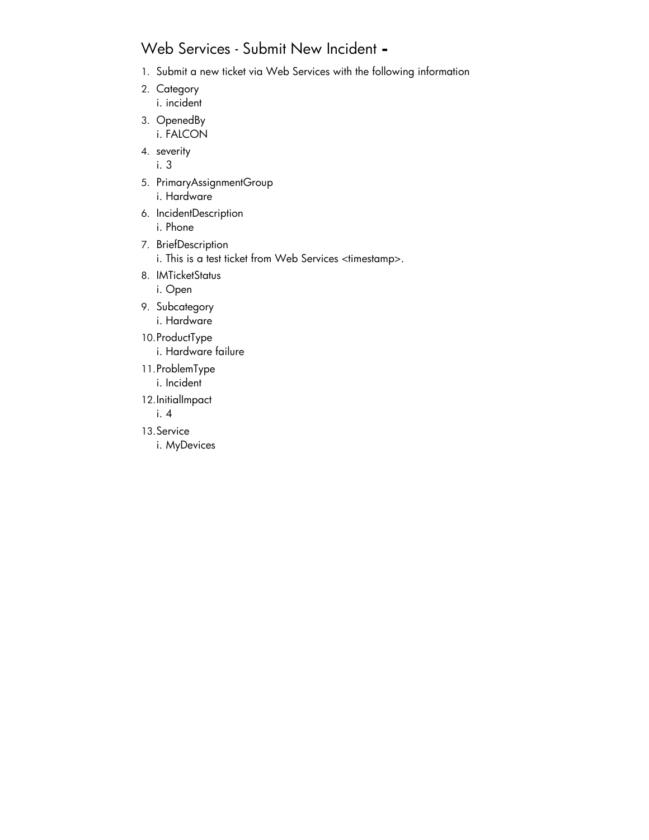## <span id="page-17-0"></span>Web Services - Submit New Incident **-**

- 1. Submit a new ticket via Web Services with the following information
- 2. Category i. incident
- 3. OpenedBy i. FALCON
- 4. severity i. 3
- 5. PrimaryAssignmentGroup i. Hardware
- 6. IncidentDescription i. Phone
- 7. BriefDescription
	- i. This is a test ticket from Web Services <timestamp>.
- 8. IMTicketStatus
	- i. Open
- 9. Subcategory i. Hardware
- 10.ProductType
	- i. Hardware failure
- 11.ProblemType
	- i. Incident
- 12.InitialImpact

i. 4

- 13.Service
	- i. MyDevices